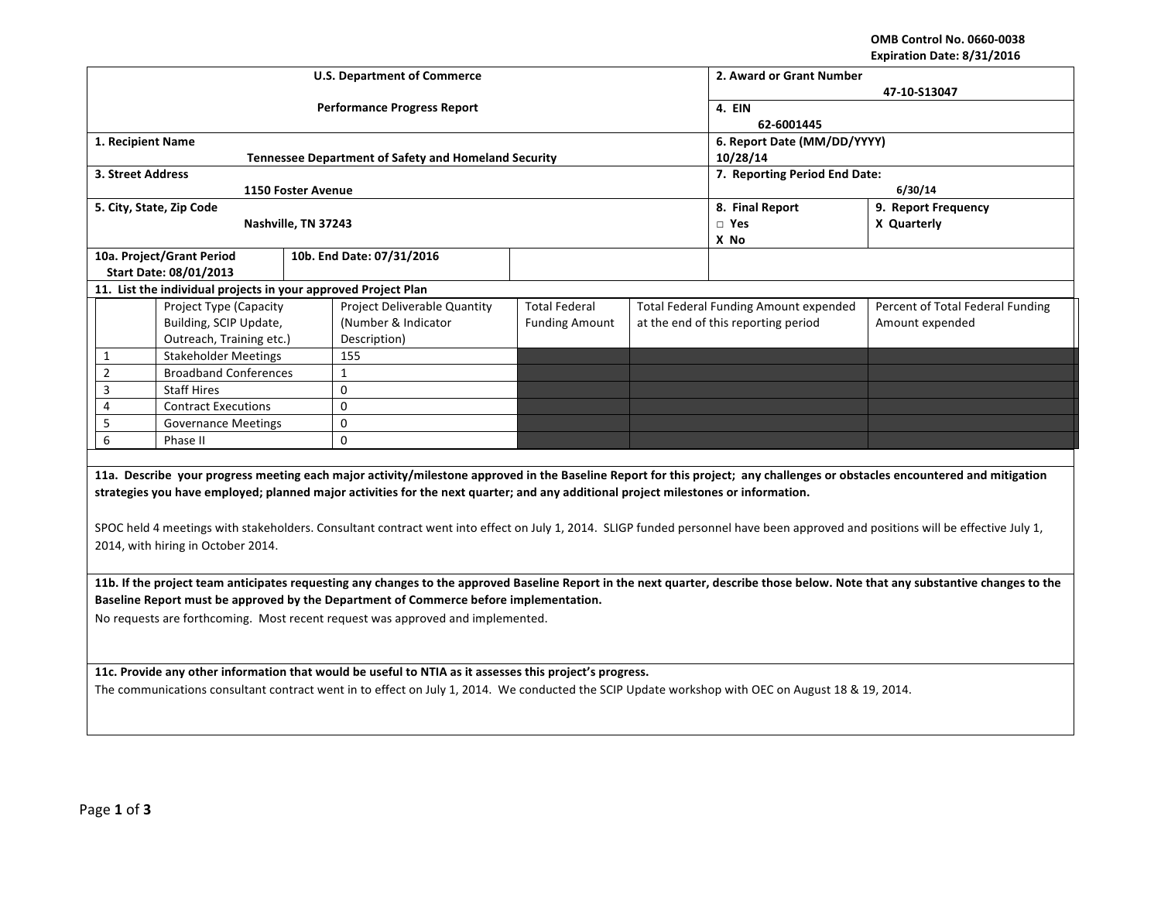**OMB Control No. 0660-0038 Expiration Date: 8/31/2016**

|                                                                                                                                                                                 |                                                                |                     | <b>U.S. Department of Commerce</b>                                                                                                                                              |                                             | 2. Award or Grant Number               |                                       |                                                                                                                                                                            |  |  |
|---------------------------------------------------------------------------------------------------------------------------------------------------------------------------------|----------------------------------------------------------------|---------------------|---------------------------------------------------------------------------------------------------------------------------------------------------------------------------------|---------------------------------------------|----------------------------------------|---------------------------------------|----------------------------------------------------------------------------------------------------------------------------------------------------------------------------|--|--|
|                                                                                                                                                                                 |                                                                |                     | <b>Performance Progress Report</b>                                                                                                                                              | 47-10-S13047<br><b>4. EIN</b><br>62-6001445 |                                        |                                       |                                                                                                                                                                            |  |  |
| 1. Recipient Name                                                                                                                                                               |                                                                |                     |                                                                                                                                                                                 |                                             |                                        | 6. Report Date (MM/DD/YYYY)           |                                                                                                                                                                            |  |  |
|                                                                                                                                                                                 |                                                                |                     | <b>Tennessee Department of Safety and Homeland Security</b>                                                                                                                     |                                             |                                        | 10/28/14                              |                                                                                                                                                                            |  |  |
| 3. Street Address                                                                                                                                                               |                                                                |                     |                                                                                                                                                                                 |                                             |                                        | 7. Reporting Period End Date:         |                                                                                                                                                                            |  |  |
|                                                                                                                                                                                 |                                                                | 1150 Foster Avenue  |                                                                                                                                                                                 |                                             |                                        | 6/30/14                               |                                                                                                                                                                            |  |  |
|                                                                                                                                                                                 | 5. City, State, Zip Code                                       |                     |                                                                                                                                                                                 |                                             | 8. Final Report<br>9. Report Frequency |                                       |                                                                                                                                                                            |  |  |
|                                                                                                                                                                                 |                                                                | Nashville, TN 37243 |                                                                                                                                                                                 |                                             |                                        | $\Box$ Yes<br>X No                    | X Quarterly                                                                                                                                                                |  |  |
|                                                                                                                                                                                 | 10a. Project/Grant Period                                      |                     | 10b. End Date: 07/31/2016                                                                                                                                                       |                                             |                                        |                                       |                                                                                                                                                                            |  |  |
|                                                                                                                                                                                 | Start Date: 08/01/2013                                         |                     |                                                                                                                                                                                 |                                             |                                        |                                       |                                                                                                                                                                            |  |  |
|                                                                                                                                                                                 | 11. List the individual projects in your approved Project Plan |                     |                                                                                                                                                                                 |                                             |                                        |                                       |                                                                                                                                                                            |  |  |
|                                                                                                                                                                                 | Project Type (Capacity                                         |                     | Project Deliverable Quantity                                                                                                                                                    | <b>Total Federal</b>                        |                                        | Total Federal Funding Amount expended | Percent of Total Federal Funding                                                                                                                                           |  |  |
|                                                                                                                                                                                 | Building, SCIP Update,                                         |                     | (Number & Indicator                                                                                                                                                             | <b>Funding Amount</b>                       |                                        | at the end of this reporting period   | Amount expended                                                                                                                                                            |  |  |
|                                                                                                                                                                                 | Outreach, Training etc.)                                       |                     | Description)                                                                                                                                                                    |                                             |                                        |                                       |                                                                                                                                                                            |  |  |
| 1                                                                                                                                                                               | <b>Stakeholder Meetings</b>                                    |                     | 155                                                                                                                                                                             |                                             |                                        |                                       |                                                                                                                                                                            |  |  |
| $\overline{2}$                                                                                                                                                                  | <b>Broadband Conferences</b>                                   |                     | $\mathbf{1}$                                                                                                                                                                    |                                             |                                        |                                       |                                                                                                                                                                            |  |  |
| 3                                                                                                                                                                               | <b>Staff Hires</b>                                             |                     | 0                                                                                                                                                                               |                                             |                                        |                                       |                                                                                                                                                                            |  |  |
| 4                                                                                                                                                                               | <b>Contract Executions</b>                                     |                     | 0                                                                                                                                                                               |                                             |                                        |                                       |                                                                                                                                                                            |  |  |
| 5                                                                                                                                                                               | <b>Governance Meetings</b>                                     |                     | 0                                                                                                                                                                               |                                             |                                        |                                       |                                                                                                                                                                            |  |  |
|                                                                                                                                                                                 | 6<br>Phase II                                                  |                     | 0                                                                                                                                                                               |                                             |                                        |                                       |                                                                                                                                                                            |  |  |
|                                                                                                                                                                                 |                                                                |                     |                                                                                                                                                                                 |                                             |                                        |                                       |                                                                                                                                                                            |  |  |
|                                                                                                                                                                                 |                                                                |                     |                                                                                                                                                                                 |                                             |                                        |                                       | 11a. Describe your progress meeting each major activity/milestone approved in the Baseline Report for this project; any challenges or obstacles encountered and mitigation |  |  |
|                                                                                                                                                                                 |                                                                |                     | strategies you have employed; planned major activities for the next quarter; and any additional project milestones or information.                                              |                                             |                                        |                                       |                                                                                                                                                                            |  |  |
|                                                                                                                                                                                 |                                                                |                     |                                                                                                                                                                                 |                                             |                                        |                                       |                                                                                                                                                                            |  |  |
|                                                                                                                                                                                 |                                                                |                     | SPOC held 4 meetings with stakeholders. Consultant contract went into effect on July 1, 2014. SLIGP funded personnel have been approved and positions will be effective July 1, |                                             |                                        |                                       |                                                                                                                                                                            |  |  |
|                                                                                                                                                                                 | 2014, with hiring in October 2014.                             |                     |                                                                                                                                                                                 |                                             |                                        |                                       |                                                                                                                                                                            |  |  |
|                                                                                                                                                                                 |                                                                |                     |                                                                                                                                                                                 |                                             |                                        |                                       |                                                                                                                                                                            |  |  |
| 11b. If the project team anticipates requesting any changes to the approved Baseline Report in the next quarter, describe those below. Note that any substantive changes to the |                                                                |                     |                                                                                                                                                                                 |                                             |                                        |                                       |                                                                                                                                                                            |  |  |
| Baseline Report must be approved by the Department of Commerce before implementation.                                                                                           |                                                                |                     |                                                                                                                                                                                 |                                             |                                        |                                       |                                                                                                                                                                            |  |  |
| No requests are forthcoming. Most recent request was approved and implemented.                                                                                                  |                                                                |                     |                                                                                                                                                                                 |                                             |                                        |                                       |                                                                                                                                                                            |  |  |
|                                                                                                                                                                                 |                                                                |                     |                                                                                                                                                                                 |                                             |                                        |                                       |                                                                                                                                                                            |  |  |
|                                                                                                                                                                                 |                                                                |                     |                                                                                                                                                                                 |                                             |                                        |                                       |                                                                                                                                                                            |  |  |
| 11c. Provide any other information that would be useful to NTIA as it assesses this project's progress.                                                                         |                                                                |                     |                                                                                                                                                                                 |                                             |                                        |                                       |                                                                                                                                                                            |  |  |
| The communications consultant contract went in to effect on July 1, 2014. We conducted the SCIP Update workshop with OEC on August 18 & 19, 2014.                               |                                                                |                     |                                                                                                                                                                                 |                                             |                                        |                                       |                                                                                                                                                                            |  |  |
|                                                                                                                                                                                 |                                                                |                     |                                                                                                                                                                                 |                                             |                                        |                                       |                                                                                                                                                                            |  |  |
|                                                                                                                                                                                 |                                                                |                     |                                                                                                                                                                                 |                                             |                                        |                                       |                                                                                                                                                                            |  |  |
|                                                                                                                                                                                 |                                                                |                     |                                                                                                                                                                                 |                                             |                                        |                                       |                                                                                                                                                                            |  |  |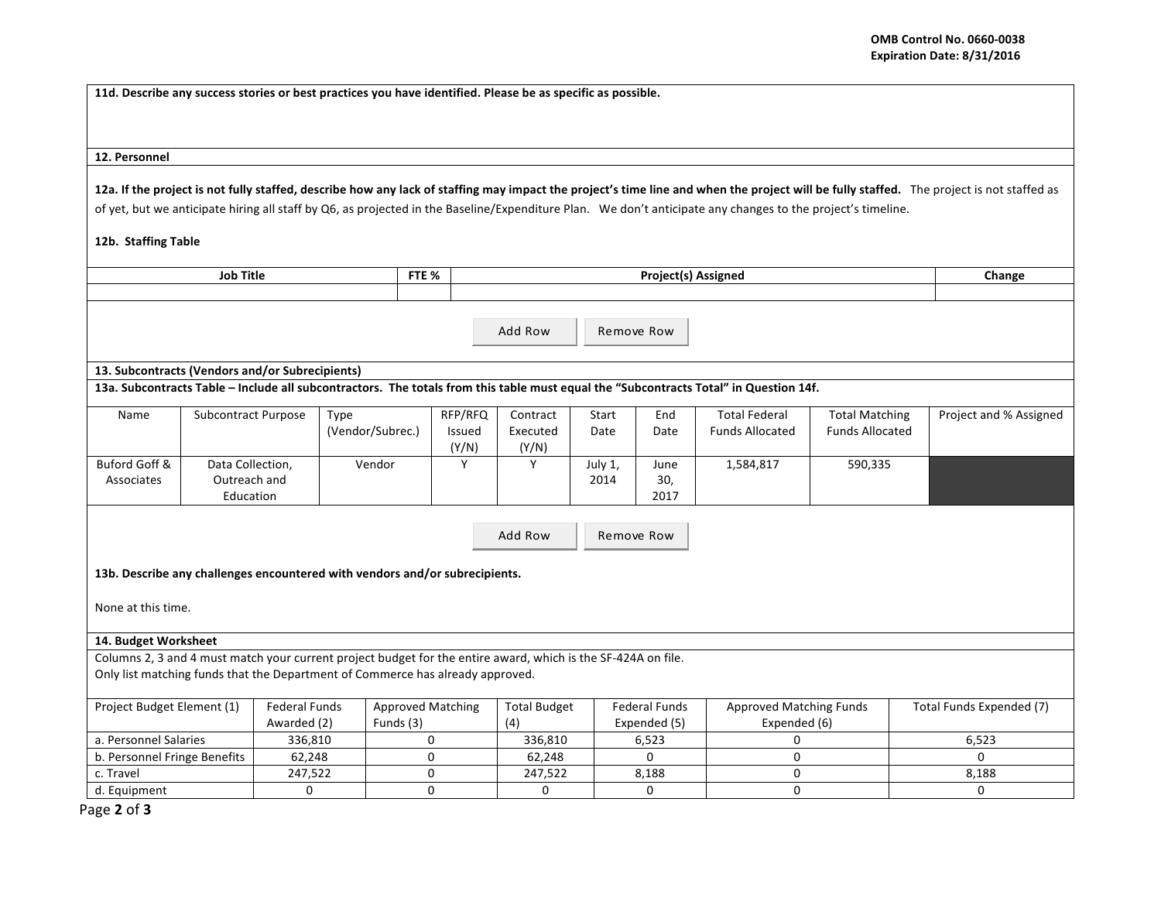**11d.** Describe any success stories or best practices you have identified. Please be as specific as possible.

## **12. Personnel**

12a. If the project is not fully staffed, describe how any lack of staffing may impact the project's time line and when the project will be fully staffed. The project is not staffed as of yet, but we anticipate hiring all staff by Q6, as projected in the Baseline/Expenditure Plan. We don't anticipate any changes to the project's timeline.

## **12b. Staffing Table**

| <b>Job Title</b><br>FTE %                                                                                                                                                                       |                                  |                                     |                                       |                   | <b>Project(s) Assigned</b> |                 |                                      |                                                |                                                 | Change                   |
|-------------------------------------------------------------------------------------------------------------------------------------------------------------------------------------------------|----------------------------------|-------------------------------------|---------------------------------------|-------------------|----------------------------|-----------------|--------------------------------------|------------------------------------------------|-------------------------------------------------|--------------------------|
|                                                                                                                                                                                                 |                                  |                                     |                                       |                   |                            |                 |                                      |                                                |                                                 |                          |
| Add Row<br>Remove Row                                                                                                                                                                           |                                  |                                     |                                       |                   |                            |                 |                                      |                                                |                                                 |                          |
| 13. Subcontracts (Vendors and/or Subrecipients)                                                                                                                                                 |                                  |                                     |                                       |                   |                            |                 |                                      |                                                |                                                 |                          |
| 13a. Subcontracts Table - Include all subcontractors. The totals from this table must equal the "Subcontracts Total" in Question 14f.                                                           |                                  |                                     |                                       |                   |                            |                 |                                      |                                                |                                                 |                          |
| Name                                                                                                                                                                                            | <b>Subcontract Purpose</b>       | Type                                | (Vendor/Subrec.)                      | RFP/RFQ<br>Issued | Contract<br>Executed       | Start<br>Date   | End<br>Date                          | <b>Total Federal</b><br><b>Funds Allocated</b> | <b>Total Matching</b><br><b>Funds Allocated</b> | Project and % Assigned   |
|                                                                                                                                                                                                 |                                  |                                     |                                       | (Y/N)             | (Y/N)                      |                 |                                      |                                                |                                                 |                          |
| Buford Goff &<br>Associates                                                                                                                                                                     | Data Collection,<br>Outreach and |                                     | Vendor                                | Y                 | Y                          | July 1,<br>2014 | June<br>30,                          | 1,584,817                                      | 590,335                                         |                          |
|                                                                                                                                                                                                 | Education                        |                                     |                                       |                   |                            |                 | 2017                                 |                                                |                                                 |                          |
| Add Row<br>Remove Row<br>13b. Describe any challenges encountered with vendors and/or subrecipients.<br>None at this time.                                                                      |                                  |                                     |                                       |                   |                            |                 |                                      |                                                |                                                 |                          |
| 14. Budget Worksheet                                                                                                                                                                            |                                  |                                     |                                       |                   |                            |                 |                                      |                                                |                                                 |                          |
| Columns 2, 3 and 4 must match your current project budget for the entire award, which is the SF-424A on file.<br>Only list matching funds that the Department of Commerce has already approved. |                                  |                                     |                                       |                   |                            |                 |                                      |                                                |                                                 |                          |
| Project Budget Element (1)                                                                                                                                                                      |                                  | <b>Federal Funds</b><br>Awarded (2) | <b>Approved Matching</b><br>Funds (3) |                   | <b>Total Budget</b><br>(4) |                 | <b>Federal Funds</b><br>Expended (5) | <b>Approved Matching Funds</b><br>Expended (6) |                                                 | Total Funds Expended (7) |
| a. Personnel Salaries                                                                                                                                                                           |                                  | 336,810                             |                                       | 0                 | 336,810                    |                 | 6,523                                | <sup>0</sup>                                   |                                                 | 6,523                    |
| b. Personnel Fringe Benefits                                                                                                                                                                    |                                  | 62,248                              |                                       | $\Omega$          | 62,248                     |                 | $\Omega$                             | $\Omega$                                       |                                                 | $\Omega$                 |
| c. Travel                                                                                                                                                                                       |                                  | 247,522                             |                                       | 0                 | 247,522                    |                 | 8,188                                | $\mathbf 0$                                    |                                                 | 8,188                    |
| d. Equipment                                                                                                                                                                                    |                                  | 0                                   |                                       | 0                 | 0                          |                 | $\mathbf 0$                          | $\mathbf 0$                                    |                                                 | 0                        |